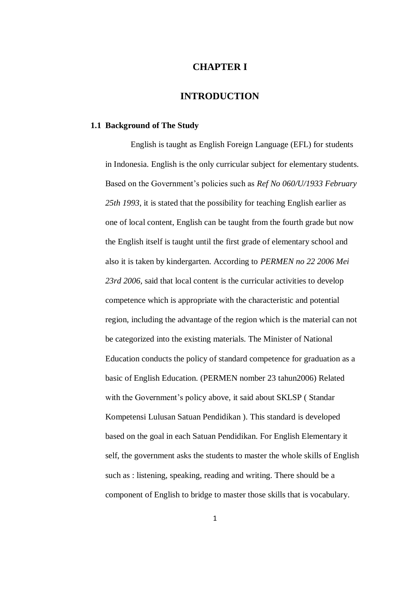# **CHAPTER I**

## **INTRODUCTION**

#### **1.1 Background of The Study**

English is taught as English Foreign Language (EFL) for students in Indonesia. English is the only curricular subject for elementary students. Based on the Government's policies such as *Ref No 060/U/1933 February 25th 1993*, it is stated that the possibility for teaching English earlier as one of local content, English can be taught from the fourth grade but now the English itself is taught until the first grade of elementary school and also it is taken by kindergarten. According to *PERMEN no 22 2006 Mei*  23rd 2006, said that local content is the curricular activities to develop competence which is appropriate with the characteristic and potential region, including the advantage of the region which is the material can not be categorized into the existing materials. The Minister of National Education conducts the policy of standard competence for graduation as a basic of English Education. (PERMEN nomber 23 tahun2006) Related with the Government's policy above, it said about SKLSP ( Standar Kompetensi Lulusan Satuan Pendidikan ). This standard is developed based on the goal in each Satuan Pendidikan. For English Elementary it self, the government asks the students to master the whole skills of English such as : listening, speaking, reading and writing. There should be a component of English to bridge to master those skills that is vocabulary.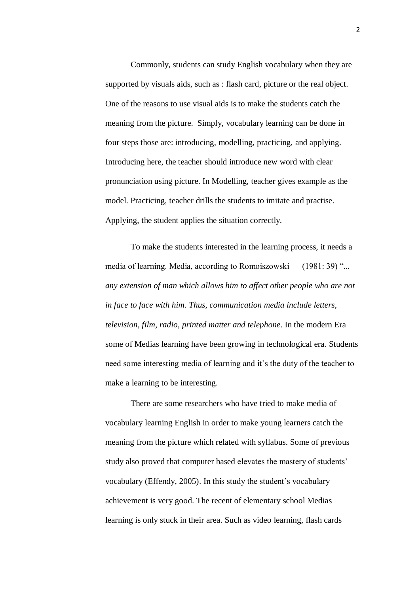Commonly, students can study English vocabulary when they are supported by visuals aids, such as : flash card, picture or the real object. One of the reasons to use visual aids is to make the students catch the meaning from the picture. Simply, vocabulary learning can be done in four steps those are: introducing, modelling, practicing, and applying. Introducing here, the teacher should introduce new word with clear pronunciation using picture. In Modelling, teacher gives example as the model. Practicing, teacher drills the students to imitate and practise. Applying, the student applies the situation correctly.

To make the students interested in the learning process, it needs a media of learning. Media, according to Romoiszowski (1981: 39) "... *any extension of man which allows him to affect other people who are not in face to face with him. Thus, communication media include letters, television, film, radio, printed matter and telephone*. In the modern Era some of Medias learning have been growing in technological era. Students need some interesting media of learning and it's the duty of the teacher to make a learning to be interesting.

There are some researchers who have tried to make media of vocabulary learning English in order to make young learners catch the meaning from the picture which related with syllabus. Some of previous study also proved that computer based elevates the mastery of students' vocabulary (Effendy, 2005). In this study the student's vocabulary achievement is very good. The recent of elementary school Medias learning is only stuck in their area. Such as video learning, flash cards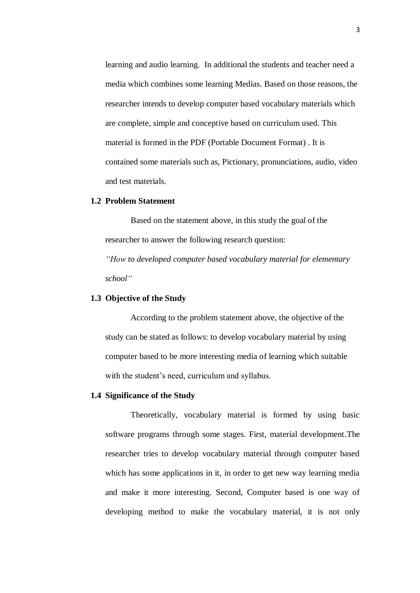learning and audio learning. In additional the students and teacher need a media which combines some learning Medias. Based on those reasons, the researcher intends to develop computer based vocabulary materials which are complete, simple and conceptive based on curriculum used. This material is formed in the PDF (Portable Document Format) . It is contained some materials such as, Pictionary, pronunciations, audio, video and test materials.

### **1.2 Problem Statement**

Based on the statement above, in this study the goal of the researcher to answer the following research question:

*"How to developed computer based vocabulary material for elementary school"* 

## **1.3 Objective of the Study**

According to the problem statement above, the objective of the study can be stated as follows: to develop vocabulary material by using computer based to be more interesting media of learning which suitable with the student's need, curriculum and syllabus.

### **1.4 Significance of the Study**

Theoretically, vocabulary material is formed by using basic software programs through some stages. First, material development.The researcher tries to develop vocabulary material through computer based which has some applications in it, in order to get new way learning media and make it more interesting. Second, Computer based is one way of developing method to make the vocabulary material, it is not only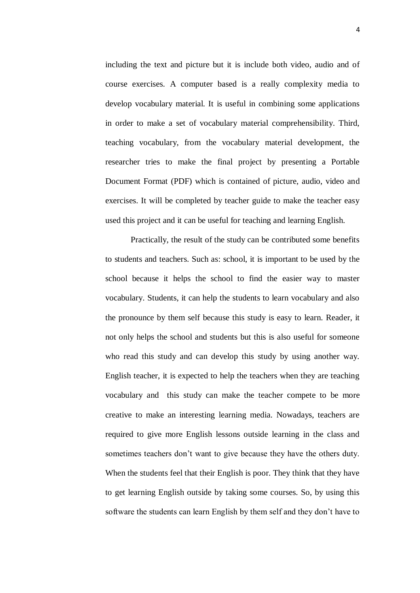including the text and picture but it is include both video, audio and of course exercises. A computer based is a really complexity media to develop vocabulary material. It is useful in combining some applications in order to make a set of vocabulary material comprehensibility. Third, teaching vocabulary, from the vocabulary material development, the researcher tries to make the final project by presenting a Portable Document Format (PDF) which is contained of picture, audio, video and exercises. It will be completed by teacher guide to make the teacher easy used this project and it can be useful for teaching and learning English.

Practically, the result of the study can be contributed some benefits to students and teachers. Such as: school, it is important to be used by the school because it helps the school to find the easier way to master vocabulary. Students, it can help the students to learn vocabulary and also the pronounce by them self because this study is easy to learn. Reader, it not only helps the school and students but this is also useful for someone who read this study and can develop this study by using another way. English teacher, it is expected to help the teachers when they are teaching vocabulary and this study can make the teacher compete to be more creative to make an interesting learning media. Nowadays, teachers are required to give more English lessons outside learning in the class and sometimes teachers don't want to give because they have the others duty. When the students feel that their English is poor. They think that they have to get learning English outside by taking some courses. So, by using this software the students can learn English by them self and they don't have to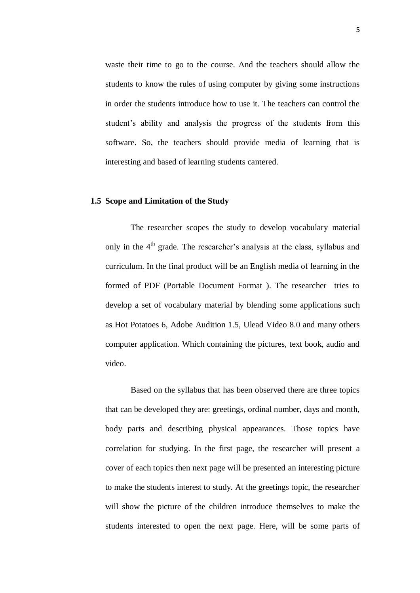waste their time to go to the course. And the teachers should allow the students to know the rules of using computer by giving some instructions in order the students introduce how to use it. The teachers can control the student's ability and analysis the progress of the students from this software. So, the teachers should provide media of learning that is interesting and based of learning students cantered.

#### **1.5 Scope and Limitation of the Study**

The researcher scopes the study to develop vocabulary material only in the  $4<sup>th</sup>$  grade. The researcher's analysis at the class, syllabus and curriculum. In the final product will be an English media of learning in the formed of PDF (Portable Document Format ). The researcher tries to develop a set of vocabulary material by blending some applications such as Hot Potatoes 6, Adobe Audition 1.5, Ulead Video 8.0 and many others computer application. Which containing the pictures, text book, audio and video.

Based on the syllabus that has been observed there are three topics that can be developed they are: greetings, ordinal number, days and month, body parts and describing physical appearances. Those topics have correlation for studying. In the first page, the researcher will present a cover of each topics then next page will be presented an interesting picture to make the students interest to study. At the greetings topic, the researcher will show the picture of the children introduce themselves to make the students interested to open the next page. Here, will be some parts of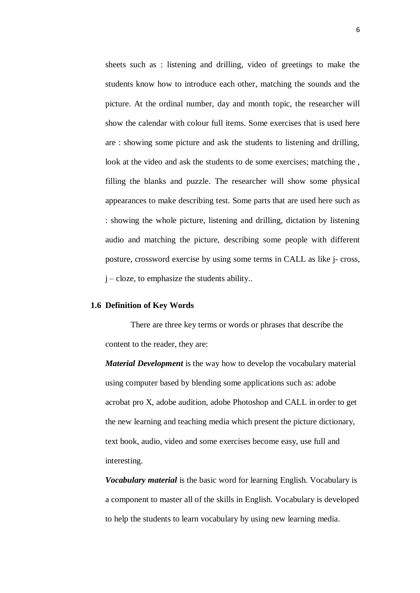sheets such as : listening and drilling, video of greetings to make the students know how to introduce each other, matching the sounds and the picture. At the ordinal number, day and month topic, the researcher will show the calendar with colour full items. Some exercises that is used here are : showing some picture and ask the students to listening and drilling, look at the video and ask the students to de some exercises; matching the , filling the blanks and puzzle. The researcher will show some physical appearances to make describing test. Some parts that are used here such as : showing the whole picture, listening and drilling, dictation by listening audio and matching the picture, describing some people with different posture, crossword exercise by using some terms in CALL as like j- cross,  $j$  – cloze, to emphasize the students ability..

#### **1.6 Definition of Key Words**

There are three key terms or words or phrases that describe the content to the reader, they are:

*Material Development* is the way how to develop the vocabulary material using computer based by blending some applications such as: adobe acrobat pro X, adobe audition, adobe Photoshop and CALL in order to get the new learning and teaching media which present the picture dictionary, text book, audio, video and some exercises become easy, use full and interesting.

*Vocabulary material* is the basic word for learning English. Vocabulary is a component to master all of the skills in English. Vocabulary is developed to help the students to learn vocabulary by using new learning media.